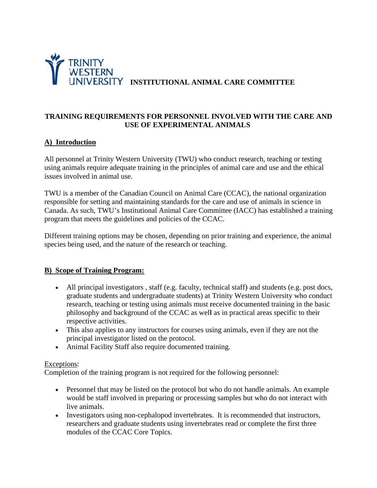

### TRAINING REQUIREMENTS FOR PERSONNEL INVOLVED WITH THE CARE AND **USE OF EXPERIMENTAL ANIMALS**

# A) Introduction

All personnel at Trinity Western University (TWU) who conduct research, teaching or testing using animals require adequate training in the principles of animal care and use and the ethical issues involved in animal use.

TWU is a member of the Canadian Council on Animal Care (CCAC), the national organization responsible for setting and maintaining standards for the care and use of animals in science in Canada. As such, TWU's Institutional Animal Care Committee (IACC) has established a training program that meets the guidelines and policies of the CCAC.

Different training options may be chosen, depending on prior training and experience, the animal species being used, and the nature of the research or teaching.

### **B)** Scope of Training Program:

- All principal investigators, staff (e.g. faculty, technical staff) and students (e.g. post docs, graduate students and undergraduate students) at Trinity Western University who conduct research, teaching or testing using animals must receive documented training in the basic philosophy and background of the CCAC as well as in practical areas specific to their respective activities.
- This also applies to any instructors for courses using animals, even if they are not the principal investigator listed on the protocol.
- Animal Facility Staff also require documented training.

#### Exceptions:

Completion of the training program is not required for the following personnel:

- Personnel that may be listed on the protocol but who do not handle animals. An example would be staff involved in preparing or processing samples but who do not interact with live animals.
- Investigators using non-cephalopod invertebrates. It is recommended that instructors, researchers and graduate students using invertebrates read or complete the first three modules of the CCAC Core Topics.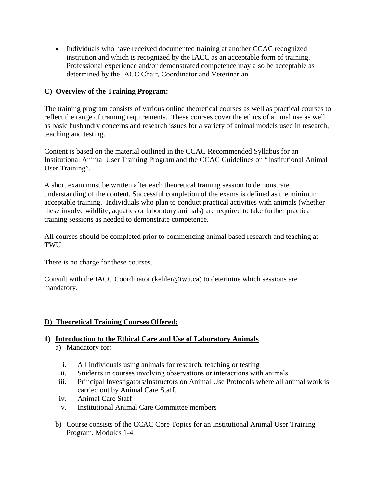• Individuals who have received documented training at another CCAC recognized institution and which is recognized by the IACC as an acceptable form of training. Professional experience and/or demonstrated competence may also be acceptable as determined by the IACC Chair, Coordinator and Veterinarian.

# **C) Overview of the Training Program:**

The training program consists of various online theoretical courses as well as practical courses to reflect the range of training requirements. These courses cover the ethics of animal use as well as basic husbandry concerns and research issues for a variety of animal models used in research, teaching and testing.

Content is based on the material outlined in the CCAC Recommended Syllabus for an Institutional Animal User Training Program and the CCAC Guidelines on "Institutional Animal User Training".

A short exam must be written after each theoretical training session to demonstrate understanding of the content. Successful completion of the exams is defined as the minimum acceptable training. Individuals who plan to conduct practical activities with animals (whether these involve wildlife, aquatics or laboratory animals) are required to take further practical training sessions as needed to demonstrate competence.

All courses should be completed prior to commencing animal based research and teaching at TWU.

There is no charge for these courses.

Consult with the IACC Coordinator (kehler@twu.ca) to determine which sessions are mandatory.

### **D) Theoretical Training Courses Offered:**

# **1) Introduction to the Ethical Care and Use of Laboratory Animals**

- a) Mandatory for:
	- i. All individuals using animals for research, teaching or testing
	- ii. Students in courses involving observations or interactions with animals
- iii. Principal Investigators/Instructors on Animal Use Protocols where all animal work is carried out by Animal Care Staff.
- iv. Animal Care Staff
- v. Institutional Animal Care Committee members
- b) Course consists of the CCAC Core Topics for an Institutional Animal User Training Program, Modules 1-4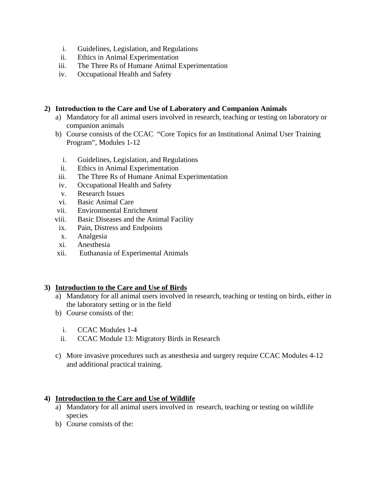- i. Guidelines, Legislation, and Regulations
- ii. Ethics in Animal Experimentation
- iii. The Three Rs of Humane Animal Experimentation
- iv. Occupational Health and Safety

### **2) Introduction to the Care and Use of Laboratory and Companion Animals**

- a) Mandatory for all animal users involved in research, teaching or testing on laboratory or companion animals
- b) Course consists of the CCAC "Core Topics for an Institutional Animal User Training Program", Modules 1-12
	- i. Guidelines, Legislation, and Regulations
	- ii. Ethics in Animal Experimentation
- iii. The Three Rs of Humane Animal Experimentation
- iv. Occupational Health and Safety
- v. Research Issues
- vi. Basic Animal Care
- vii. Environmental Enrichment
- viii. Basic Diseases and the Animal Facility
- ix. Pain, Distress and Endpoints
- x. Analgesia
- xi. Anesthesia
- xii. Euthanasia of Experimental Animals

### **3) Introduction to the Care and Use of Birds**

- a) Mandatory for all animal users involved in research, teaching or testing on birds, either in the laboratory setting or in the field
- b) Course consists of the:
	- i. CCAC Modules 1-4
	- ii. CCAC Module 13: Migratory Birds in Research
- c) More invasive procedures such as anesthesia and surgery require CCAC Modules 4-12 and additional practical training.

# **4) Introduction to the Care and Use of Wildlife**

- a) Mandatory for all animal users involved in research, teaching or testing on wildlife species
- b) Course consists of the: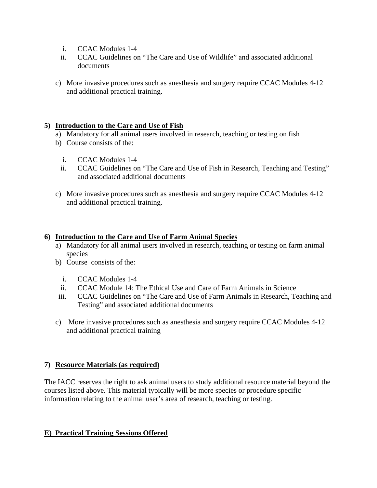- i. CCAC Modules 1-4
- ii. CCAC Guidelines on "The Care and Use of Wildlife" and associated additional documents
- c) More invasive procedures such as anesthesia and surgery require CCAC Modules 4-12 and additional practical training.

### **5) Introduction to the Care and Use of Fish**

- a) Mandatory for all animal users involved in research, teaching or testing on fish
- b) Course consists of the:
	- i. CCAC Modules 1-4
	- ii. CCAC Guidelines on "The Care and Use of Fish in Research, Teaching and Testing" and associated additional documents
- c) More invasive procedures such as anesthesia and surgery require CCAC Modules 4-12 and additional practical training.

### **6) Introduction to the Care and Use of Farm Animal Species**

- a) Mandatory for all animal users involved in research, teaching or testing on farm animal species
- b) Course consists of the:
	- i. CCAC Modules 1-4
- ii. CCAC Module 14: The Ethical Use and Care of Farm Animals in Science
- iii. CCAC Guidelines on "The Care and Use of Farm Animals in Research, Teaching and Testing" and associated additional documents
- c) More invasive procedures such as anesthesia and surgery require CCAC Modules 4-12 and additional practical training

### **7) Resource Materials (as required)**

The IACC reserves the right to ask animal users to study additional resource material beyond the courses listed above. This material typically will be more species or procedure specific information relating to the animal user's area of research, teaching or testing.

### **E) Practical Training Sessions Offered**